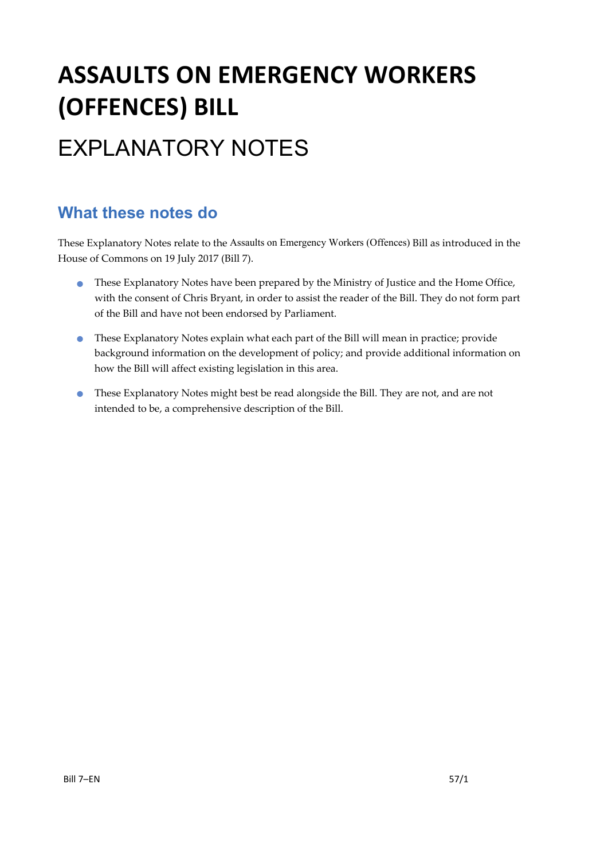# **ASSAULTS ON EMERGENCY WORKERS (OFFENCES) BILL**

# EXPLANATORY NOTES

### **What these notes do**

- These Explanatory Notes have been prepared by the Ministry of Justice and the Home Office, with the consent of Chris Bryant, in order to assist the reader of the Bill. They do not form part of the Bill and have not been endorsed by Parliament.
- These Explanatory Notes explain what each part of the Bill will mean in practice; provide background information on the development of policy; and provide additional information on how the Bill will affect existing legislation in this area.
- These Explanatory Notes might best be read alongside the Bill. They are not, and are not intended to be, a comprehensive description of the Bill.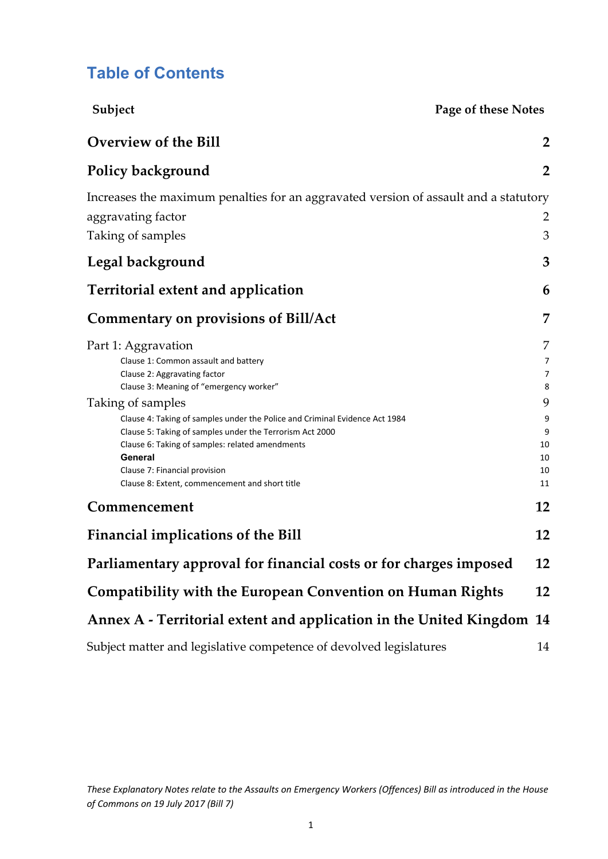### **Table of Contents**

| Subject                                                                                                                                 | Page of these Notes |                |  |
|-----------------------------------------------------------------------------------------------------------------------------------------|---------------------|----------------|--|
| <b>Overview of the Bill</b>                                                                                                             |                     | $\overline{2}$ |  |
| <b>Policy background</b>                                                                                                                |                     | $\overline{2}$ |  |
| Increases the maximum penalties for an aggravated version of assault and a statutory                                                    |                     |                |  |
| aggravating factor                                                                                                                      |                     | 2              |  |
| Taking of samples                                                                                                                       |                     | 3              |  |
| Legal background                                                                                                                        |                     | 3              |  |
| <b>Territorial extent and application</b>                                                                                               |                     | 6              |  |
| <b>Commentary on provisions of Bill/Act</b>                                                                                             |                     | 7              |  |
| Part 1: Aggravation                                                                                                                     |                     | 7              |  |
| Clause 1: Common assault and battery                                                                                                    |                     | 7              |  |
| Clause 2: Aggravating factor                                                                                                            |                     | $\overline{7}$ |  |
| Clause 3: Meaning of "emergency worker"                                                                                                 |                     | 8              |  |
| Taking of samples                                                                                                                       |                     | 9              |  |
| Clause 4: Taking of samples under the Police and Criminal Evidence Act 1984<br>Clause 5: Taking of samples under the Terrorism Act 2000 |                     | 9<br>9         |  |
| Clause 6: Taking of samples: related amendments                                                                                         |                     | 10             |  |
| General                                                                                                                                 |                     | 10             |  |
| Clause 7: Financial provision                                                                                                           |                     | 10             |  |
| Clause 8: Extent, commencement and short title                                                                                          |                     | 11             |  |
| Commencement                                                                                                                            |                     | 12             |  |
| <b>Financial implications of the Bill</b>                                                                                               |                     | 12             |  |
| Parliamentary approval for financial costs or for charges imposed                                                                       |                     | 12             |  |
| <b>Compatibility with the European Convention on Human Rights</b>                                                                       |                     | 12             |  |
| Annex A - Territorial extent and application in the United Kingdom 14                                                                   |                     |                |  |
| Subject matter and legislative competence of devolved legislatures                                                                      |                     | 14             |  |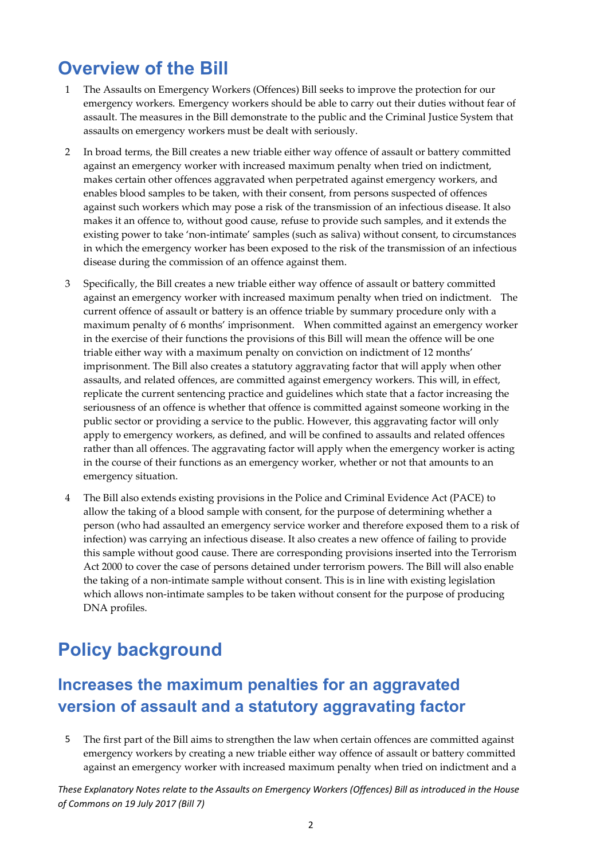## **Overview of the Bill**

- 1 The Assaults on Emergency Workers (Offences) Bill seeks to improve the protection for our emergency workers. Emergency workers should be able to carry out their duties without fear of assault. The measures in the Bill demonstrate to the public and the Criminal Justice System that assaults on emergency workers must be dealt with seriously.
- 2 In broad terms, the Bill creates a new triable either way offence of assault or battery committed against an emergency worker with increased maximum penalty when tried on indictment, makes certain other offences aggravated when perpetrated against emergency workers, and enables blood samples to be taken, with their consent, from persons suspected of offences against such workers which may pose a risk of the transmission of an infectious disease. It also makes it an offence to, without good cause, refuse to provide such samples, and it extends the existing power to take 'non‐intimate' samples (such as saliva) without consent, to circumstances in which the emergency worker has been exposed to the risk of the transmission of an infectious disease during the commission of an offence against them.
- 3 Specifically, the Bill creates a new triable either way offence of assault or battery committed against an emergency worker with increased maximum penalty when tried on indictment. The current offence of assault or battery is an offence triable by summary procedure only with a maximum penalty of 6 months' imprisonment. When committed against an emergency worker in the exercise of their functions the provisions of this Bill will mean the offence will be one triable either way with a maximum penalty on conviction on indictment of 12 months' imprisonment. The Bill also creates a statutory aggravating factor that will apply when other assaults, and related offences, are committed against emergency workers. This will, in effect, replicate the current sentencing practice and guidelines which state that a factor increasing the seriousness of an offence is whether that offence is committed against someone working in the public sector or providing a service to the public. However, this aggravating factor will only apply to emergency workers, as defined, and will be confined to assaults and related offences rather than all offences. The aggravating factor will apply when the emergency worker is acting in the course of their functions as an emergency worker, whether or not that amounts to an emergency situation.
- 4 The Bill also extends existing provisions in the Police and Criminal Evidence Act (PACE) to allow the taking of a blood sample with consent, for the purpose of determining whether a person (who had assaulted an emergency service worker and therefore exposed them to a risk of infection) was carrying an infectious disease. It also creates a new offence of failing to provide this sample without good cause. There are corresponding provisions inserted into the Terrorism Act 2000 to cover the case of persons detained under terrorism powers. The Bill will also enable the taking of a non-intimate sample without consent. This is in line with existing legislation which allows non-intimate samples to be taken without consent for the purpose of producing DNA profiles.

# **Policy background**

### **Increases the maximum penalties for an aggravated version of assault and a statutory aggravating factor**

5 The first part of the Bill aims to strengthen the law when certain offences are committed against emergency workers by creating a new triable either way offence of assault or battery committed against an emergency worker with increased maximum penalty when tried on indictment and a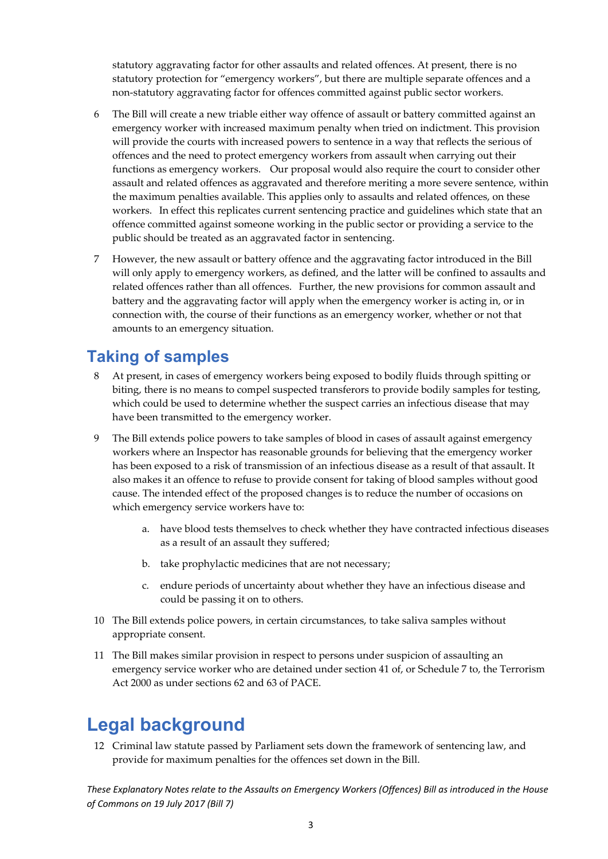statutory aggravating factor for other assaults and related offences. At present, there is no statutory protection for "emergency workers", but there are multiple separate offences and a non‐statutory aggravating factor for offences committed against public sector workers.

- 6 The Bill will create a new triable either way offence of assault or battery committed against an emergency worker with increased maximum penalty when tried on indictment. This provision will provide the courts with increased powers to sentence in a way that reflects the serious of offences and the need to protect emergency workers from assault when carrying out their functions as emergency workers. Our proposal would also require the court to consider other assault and related offences as aggravated and therefore meriting a more severe sentence, within the maximum penalties available. This applies only to assaults and related offences, on these workers. In effect this replicates current sentencing practice and guidelines which state that an offence committed against someone working in the public sector or providing a service to the public should be treated as an aggravated factor in sentencing.
- 7 However, the new assault or battery offence and the aggravating factor introduced in the Bill will only apply to emergency workers, as defined, and the latter will be confined to assaults and related offences rather than all offences. Further, the new provisions for common assault and battery and the aggravating factor will apply when the emergency worker is acting in, or in connection with, the course of their functions as an emergency worker, whether or not that amounts to an emergency situation.

### **Taking of samples**

- 8 At present, in cases of emergency workers being exposed to bodily fluids through spitting or biting, there is no means to compel suspected transferors to provide bodily samples for testing, which could be used to determine whether the suspect carries an infectious disease that may have been transmitted to the emergency worker.
- 9 The Bill extends police powers to take samples of blood in cases of assault against emergency workers where an Inspector has reasonable grounds for believing that the emergency worker has been exposed to a risk of transmission of an infectious disease as a result of that assault. It also makes it an offence to refuse to provide consent for taking of blood samples without good cause. The intended effect of the proposed changes is to reduce the number of occasions on which emergency service workers have to:
	- a. have blood tests themselves to check whether they have contracted infectious diseases as a result of an assault they suffered;
	- b. take prophylactic medicines that are not necessary;
	- c. endure periods of uncertainty about whether they have an infectious disease and could be passing it on to others.
- 10 The Bill extends police powers, in certain circumstances, to take saliva samples without appropriate consent.
- 11 The Bill makes similar provision in respect to persons under suspicion of assaulting an emergency service worker who are detained under section 41 of, or Schedule 7 to, the Terrorism Act 2000 as under sections 62 and 63 of PACE.

## **Legal background**

12 Criminal law statute passed by Parliament sets down the framework of sentencing law, and provide for maximum penalties for the offences set down in the Bill.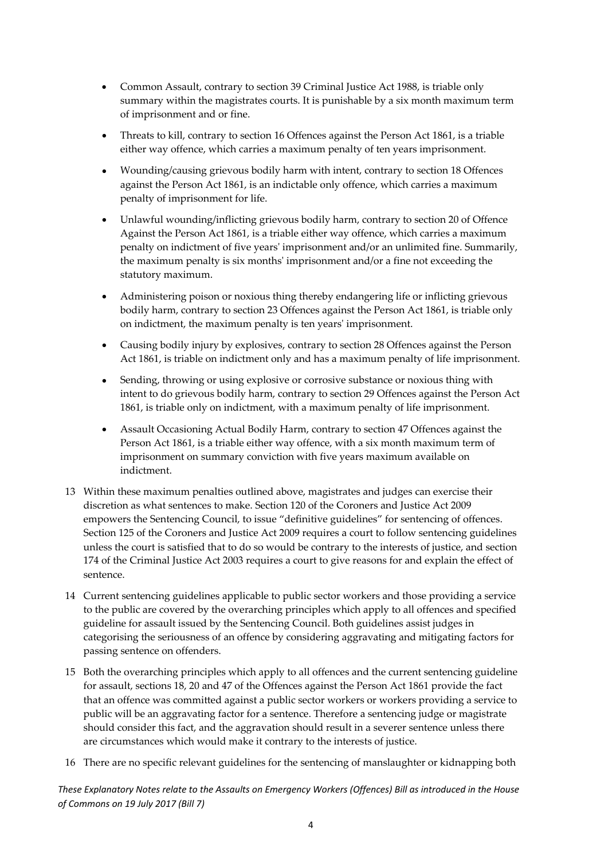- Common Assault, contrary to section 39 Criminal Justice Act 1988, is triable only summary within the magistrates courts. It is punishable by a six month maximum term of imprisonment and or fine.
- Threats to kill, contrary to section 16 Offences against the Person Act 1861, is a triable either way offence, which carries a maximum penalty of ten years imprisonment.
- Wounding/causing grievous bodily harm with intent, contrary to section 18 Offences against the Person Act 1861, is an indictable only offence, which carries a maximum penalty of imprisonment for life.
- Unlawful wounding/inflicting grievous bodily harm, contrary to section 20 of Offence Against the Person Act 1861, is a triable either way offence, which carries a maximum penalty on indictment of five yearsʹ imprisonment and/or an unlimited fine. Summarily, the maximum penalty is six monthsʹ imprisonment and/or a fine not exceeding the statutory maximum.
- Administering poison or noxious thing thereby endangering life or inflicting grievous bodily harm, contrary to section 23 Offences against the Person Act 1861, is triable only on indictment, the maximum penalty is ten years' imprisonment.
- Causing bodily injury by explosives, contrary to section 28 Offences against the Person Act 1861, is triable on indictment only and has a maximum penalty of life imprisonment.
- Sending, throwing or using explosive or corrosive substance or noxious thing with intent to do grievous bodily harm, contrary to section 29 Offences against the Person Act 1861, is triable only on indictment, with a maximum penalty of life imprisonment.
- Assault Occasioning Actual Bodily Harm, contrary to section 47 Offences against the Person Act 1861, is a triable either way offence, with a six month maximum term of imprisonment on summary conviction with five years maximum available on indictment.
- 13 Within these maximum penalties outlined above, magistrates and judges can exercise their discretion as what sentences to make. Section 120 of the Coroners and Justice Act 2009 empowers the Sentencing Council, to issue "definitive guidelines" for sentencing of offences. Section 125 of the Coroners and Justice Act 2009 requires a court to follow sentencing guidelines unless the court is satisfied that to do so would be contrary to the interests of justice, and section 174 of the Criminal Justice Act 2003 requires a court to give reasons for and explain the effect of sentence.
- 14 Current sentencing guidelines applicable to public sector workers and those providing a service to the public are covered by the overarching principles which apply to all offences and specified guideline for assault issued by the Sentencing Council. Both guidelines assist judges in categorising the seriousness of an offence by considering aggravating and mitigating factors for passing sentence on offenders.
- 15 Both the overarching principles which apply to all offences and the current sentencing guideline for assault, sections 18, 20 and 47 of the Offences against the Person Act 1861 provide the fact that an offence was committed against a public sector workers or workers providing a service to public will be an aggravating factor for a sentence. Therefore a sentencing judge or magistrate should consider this fact, and the aggravation should result in a severer sentence unless there are circumstances which would make it contrary to the interests of justice.
- 16 There are no specific relevant guidelines for the sentencing of manslaughter or kidnapping both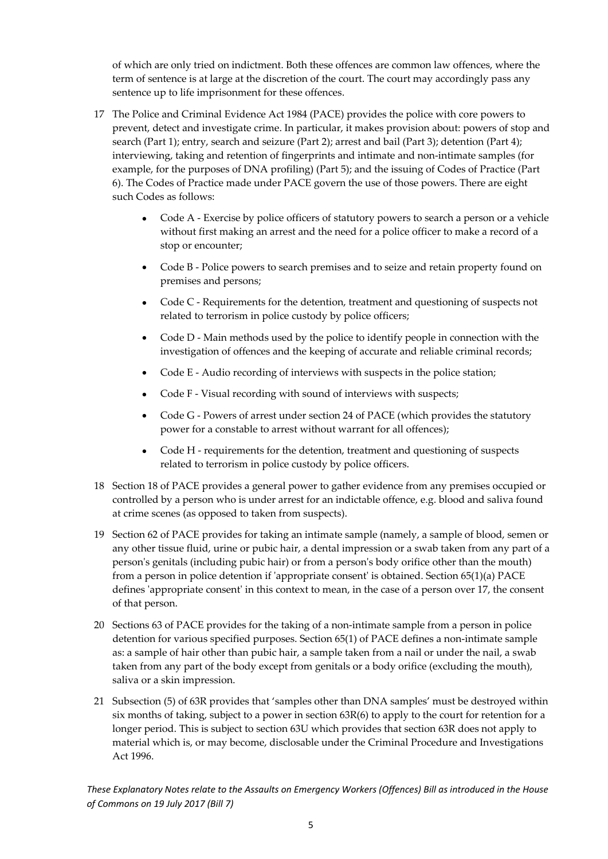of which are only tried on indictment. Both these offences are common law offences, where the term of sentence is at large at the discretion of the court. The court may accordingly pass any sentence up to life imprisonment for these offences.

- 17 The Police and Criminal Evidence Act 1984 (PACE) provides the police with core powers to prevent, detect and investigate crime. In particular, it makes provision about: powers of stop and search (Part 1); entry, search and seizure (Part 2); arrest and bail (Part 3); detention (Part 4); interviewing, taking and retention of fingerprints and intimate and non-intimate samples (for example, for the purposes of DNA profiling) (Part 5); and the issuing of Codes of Practice (Part 6). The Codes of Practice made under PACE govern the use of those powers. There are eight such Codes as follows:
	- Code A ‐ Exercise by police officers of statutory powers to search a person or a vehicle without first making an arrest and the need for a police officer to make a record of a stop or encounter;
	- Code B Police powers to search premises and to seize and retain property found on premises and persons;
	- Code C Requirements for the detention, treatment and questioning of suspects not related to terrorism in police custody by police officers;
	- Code D Main methods used by the police to identify people in connection with the investigation of offences and the keeping of accurate and reliable criminal records;
	- Code E Audio recording of interviews with suspects in the police station;
	- Code F Visual recording with sound of interviews with suspects;
	- Code G Powers of arrest under section 24 of PACE (which provides the statutory power for a constable to arrest without warrant for all offences);
	- Code H requirements for the detention, treatment and questioning of suspects related to terrorism in police custody by police officers.
- 18 Section 18 of PACE provides a general power to gather evidence from any premises occupied or controlled by a person who is under arrest for an indictable offence, e.g. blood and saliva found at crime scenes (as opposed to taken from suspects).
- 19 Section 62 of PACE provides for taking an intimate sample (namely, a sample of blood, semen or any other tissue fluid, urine or pubic hair, a dental impression or a swab taken from any part of a person's genitals (including pubic hair) or from a person's body orifice other than the mouth) from a person in police detention if 'appropriate consent' is obtained. Section 65(1)(a) PACE defines 'appropriate consent' in this context to mean, in the case of a person over 17, the consent of that person.
- 20 Sections 63 of PACE provides for the taking of a non‐intimate sample from a person in police detention for various specified purposes. Section 65(1) of PACE defines a non-intimate sample as: a sample of hair other than pubic hair, a sample taken from a nail or under the nail, a swab taken from any part of the body except from genitals or a body orifice (excluding the mouth), saliva or a skin impression.
- 21 Subsection (5) of 63R provides that 'samples other than DNA samples' must be destroyed within six months of taking, subject to a power in section 63R(6) to apply to the court for retention for a longer period. This is subject to section 63U which provides that section 63R does not apply to material which is, or may become, disclosable under the Criminal Procedure and Investigations Act 1996.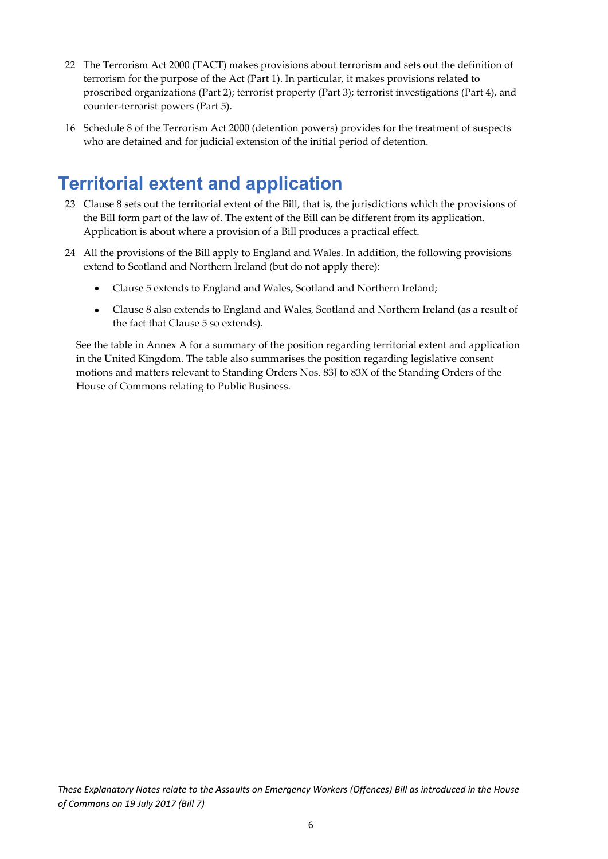- 22 The Terrorism Act 2000 (TACT) makes provisions about terrorism and sets out the definition of terrorism for the purpose of the Act (Part 1). In particular, it makes provisions related to proscribed organizations (Part 2); terrorist property (Part 3); terrorist investigations (Part 4), and counter‐terrorist powers (Part 5).
- 16 Schedule 8 of the Terrorism Act 2000 (detention powers) provides for the treatment of suspects who are detained and for judicial extension of the initial period of detention.

## **Territorial extent and application**

- 23 Clause 8 sets out the territorial extent of the Bill, that is, the jurisdictions which the provisions of the Bill form part of the law of. The extent of the Bill can be different from its application. Application is about where a provision of a Bill produces a practical effect.
- 24 All the provisions of the Bill apply to England and Wales. In addition, the following provisions extend to Scotland and Northern Ireland (but do not apply there):
	- Clause 5 extends to England and Wales, Scotland and Northern Ireland;
	- Clause 8 also extends to England and Wales, Scotland and Northern Ireland (as a result of the fact that Clause 5 so extends).

See the table in Annex A for a summary of the position regarding territorial extent and application in the United Kingdom. The table also summarises the position regarding legislative consent motions and matters relevant to Standing Orders Nos. 83J to 83X of the Standing Orders of the House of Commons relating to Public Business.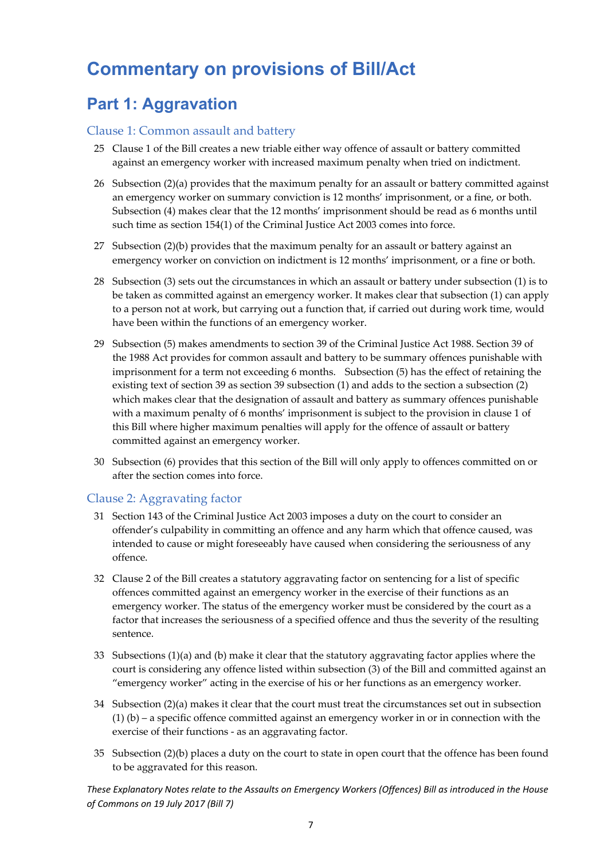# **Commentary on provisions of Bill/Act**

### **Part 1: Aggravation**

#### Clause 1: Common assault and battery

- 25 Clause 1 of the Bill creates a new triable either way offence of assault or battery committed against an emergency worker with increased maximum penalty when tried on indictment.
- 26 Subsection (2)(a) provides that the maximum penalty for an assault or battery committed against an emergency worker on summary conviction is 12 months' imprisonment, or a fine, or both. Subsection (4) makes clear that the 12 months' imprisonment should be read as 6 months until such time as section 154(1) of the Criminal Justice Act 2003 comes into force.
- 27 Subsection (2)(b) provides that the maximum penalty for an assault or battery against an emergency worker on conviction on indictment is 12 months' imprisonment, or a fine or both.
- 28 Subsection (3) sets out the circumstances in which an assault or battery under subsection (1) is to be taken as committed against an emergency worker. It makes clear that subsection (1) can apply to a person not at work, but carrying out a function that, if carried out during work time, would have been within the functions of an emergency worker.
- 29 Subsection (5) makes amendments to section 39 of the Criminal Justice Act 1988. Section 39 of the 1988 Act provides for common assault and battery to be summary offences punishable with imprisonment for a term not exceeding 6 months. Subsection (5) has the effect of retaining the existing text of section 39 as section 39 subsection (1) and adds to the section a subsection (2) which makes clear that the designation of assault and battery as summary offences punishable with a maximum penalty of 6 months' imprisonment is subject to the provision in clause 1 of this Bill where higher maximum penalties will apply for the offence of assault or battery committed against an emergency worker.
- 30 Subsection (6) provides that this section of the Bill will only apply to offences committed on or after the section comes into force.

#### Clause 2: Aggravating factor

- 31 Section 143 of the Criminal Justice Act 2003 imposes a duty on the court to consider an offender's culpability in committing an offence and any harm which that offence caused, was intended to cause or might foreseeably have caused when considering the seriousness of any offence.
- 32 Clause 2 of the Bill creates a statutory aggravating factor on sentencing for a list of specific offences committed against an emergency worker in the exercise of their functions as an emergency worker. The status of the emergency worker must be considered by the court as a factor that increases the seriousness of a specified offence and thus the severity of the resulting sentence.
- 33 Subsections (1)(a) and (b) make it clear that the statutory aggravating factor applies where the court is considering any offence listed within subsection (3) of the Bill and committed against an "emergency worker" acting in the exercise of his or her functions as an emergency worker.
- 34 Subsection (2)(a) makes it clear that the court must treat the circumstances set out in subsection  $(1)$  (b) – a specific offence committed against an emergency worker in or in connection with the exercise of their functions ‐ as an aggravating factor.
- 35 Subsection (2)(b) places a duty on the court to state in open court that the offence has been found to be aggravated for this reason.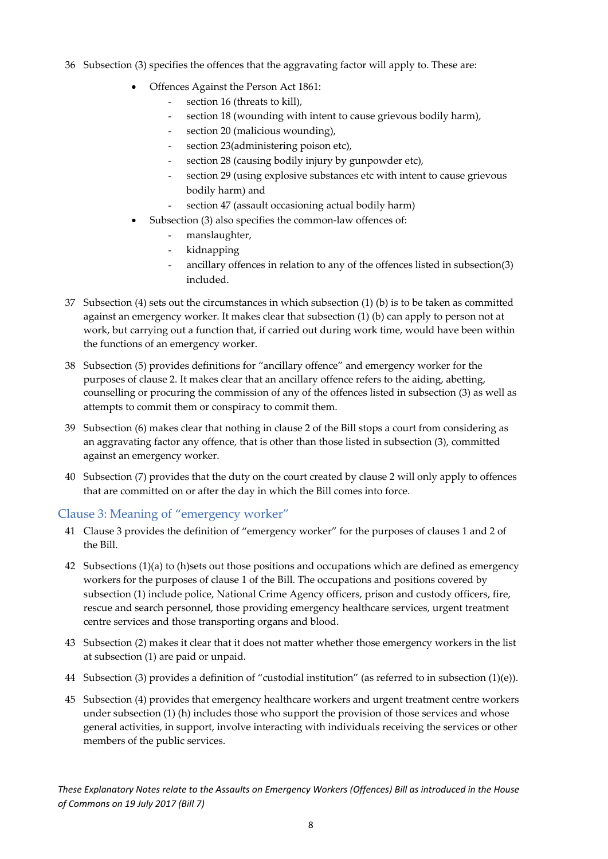- 36 Subsection (3) specifies the offences that the aggravating factor will apply to. These are:
	- Offences Against the Person Act 1861:
		- section 16 (threats to kill),
		- section 18 (wounding with intent to cause grievous bodily harm),
		- section 20 (malicious wounding),
		- section 23(administering poison etc),
		- section 28 (causing bodily injury by gunpowder etc),
		- section 29 (using explosive substances etc with intent to cause grievous bodily harm) and
		- section 47 (assault occasioning actual bodily harm)
	- Subsection (3) also specifies the common-law offences of:
		- manslaughter,
		- kidnapping
		- ancillary offences in relation to any of the offences listed in subsection(3) included.
- 37 Subsection (4) sets out the circumstances in which subsection (1) (b) is to be taken as committed against an emergency worker. It makes clear that subsection (1) (b) can apply to person not at work, but carrying out a function that, if carried out during work time, would have been within the functions of an emergency worker.
- 38 Subsection (5) provides definitions for "ancillary offence" and emergency worker for the purposes of clause 2. It makes clear that an ancillary offence refers to the aiding, abetting, counselling or procuring the commission of any of the offences listed in subsection (3) as well as attempts to commit them or conspiracy to commit them.
- 39 Subsection (6) makes clear that nothing in clause 2 of the Bill stops a court from considering as an aggravating factor any offence, that is other than those listed in subsection (3), committed against an emergency worker.
- 40 Subsection (7) provides that the duty on the court created by clause 2 will only apply to offences that are committed on or after the day in which the Bill comes into force.

#### Clause 3: Meaning of "emergency worker"

- 41 Clause 3 provides the definition of "emergency worker" for the purposes of clauses 1 and 2 of the Bill.
- 42 Subsections (1)(a) to (h)sets out those positions and occupations which are defined as emergency workers for the purposes of clause 1 of the Bill. The occupations and positions covered by subsection (1) include police, National Crime Agency officers, prison and custody officers, fire, rescue and search personnel, those providing emergency healthcare services, urgent treatment centre services and those transporting organs and blood.
- 43 Subsection (2) makes it clear that it does not matter whether those emergency workers in the list at subsection (1) are paid or unpaid.
- 44 Subsection (3) provides a definition of "custodial institution" (as referred to in subsection (1)(e)).
- 45 Subsection (4) provides that emergency healthcare workers and urgent treatment centre workers under subsection (1) (h) includes those who support the provision of those services and whose general activities, in support, involve interacting with individuals receiving the services or other members of the public services.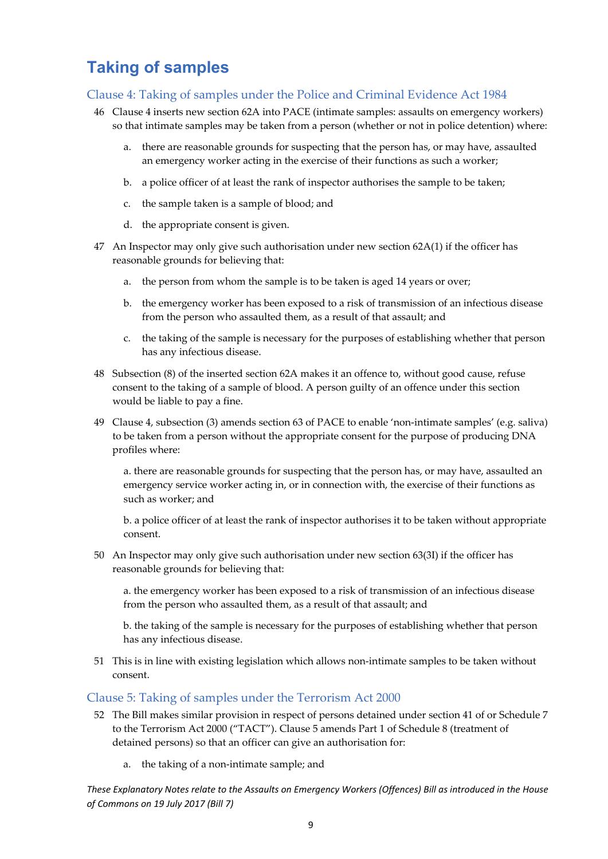### **Taking of samples**

#### Clause 4: Taking of samples under the Police and Criminal Evidence Act 1984

- 46 Clause 4 inserts new section 62A into PACE (intimate samples: assaults on emergency workers) so that intimate samples may be taken from a person (whether or not in police detention) where:
	- a. there are reasonable grounds for suspecting that the person has, or may have, assaulted an emergency worker acting in the exercise of their functions as such a worker;
	- b. a police officer of at least the rank of inspector authorises the sample to be taken;
	- c. the sample taken is a sample of blood; and
	- d. the appropriate consent is given.
- 47 An Inspector may only give such authorisation under new section 62A(1) if the officer has reasonable grounds for believing that:
	- a. the person from whom the sample is to be taken is aged 14 years or over;
	- b. the emergency worker has been exposed to a risk of transmission of an infectious disease from the person who assaulted them, as a result of that assault; and
	- c. the taking of the sample is necessary for the purposes of establishing whether that person has any infectious disease.
- 48 Subsection (8) of the inserted section 62A makes it an offence to, without good cause, refuse consent to the taking of a sample of blood. A person guilty of an offence under this section would be liable to pay a fine.
- 49 Clause 4, subsection (3) amends section 63 of PACE to enable 'non-intimate samples' (e.g. saliva) to be taken from a person without the appropriate consent for the purpose of producing DNA profiles where:

a. there are reasonable grounds for suspecting that the person has, or may have, assaulted an emergency service worker acting in, or in connection with, the exercise of their functions as such as worker; and

b. a police officer of at least the rank of inspector authorises it to be taken without appropriate consent.

50 An Inspector may only give such authorisation under new section 63(3I) if the officer has reasonable grounds for believing that:

a. the emergency worker has been exposed to a risk of transmission of an infectious disease from the person who assaulted them, as a result of that assault; and

b. the taking of the sample is necessary for the purposes of establishing whether that person has any infectious disease.

51 This is in line with existing legislation which allows non‐intimate samples to be taken without consent.

#### Clause 5: Taking of samples under the Terrorism Act 2000

- 52 The Bill makes similar provision in respect of persons detained under section 41 of or Schedule 7 to the Terrorism Act 2000 ("TACT"). Clause 5 amends Part 1 of Schedule 8 (treatment of detained persons) so that an officer can give an authorisation for:
	- a. the taking of a non‐intimate sample; and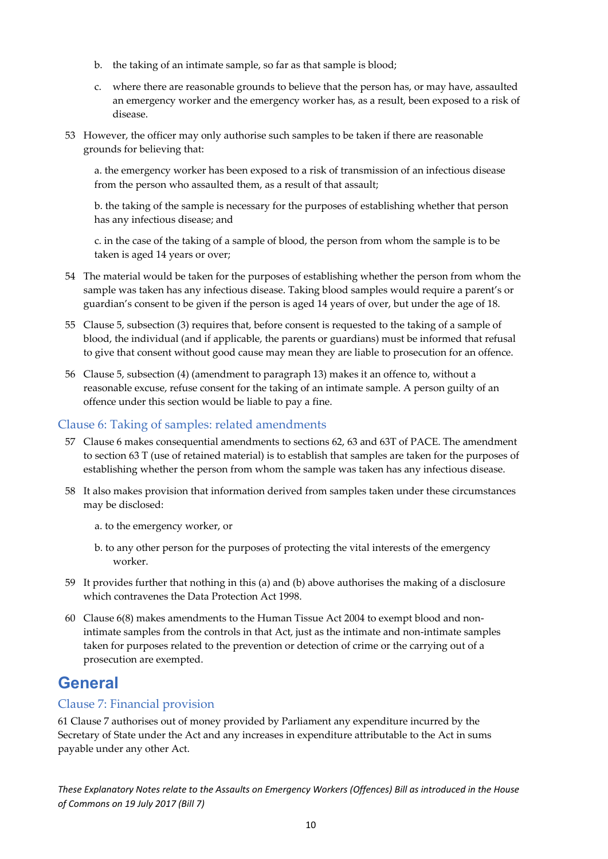- b. the taking of an intimate sample, so far as that sample is blood;
- c. where there are reasonable grounds to believe that the person has, or may have, assaulted an emergency worker and the emergency worker has, as a result, been exposed to a risk of disease.
- 53 However, the officer may only authorise such samples to be taken if there are reasonable grounds for believing that:

a. the emergency worker has been exposed to a risk of transmission of an infectious disease from the person who assaulted them, as a result of that assault;

b. the taking of the sample is necessary for the purposes of establishing whether that person has any infectious disease; and

c. in the case of the taking of a sample of blood, the person from whom the sample is to be taken is aged 14 years or over;

- 54 The material would be taken for the purposes of establishing whether the person from whom the sample was taken has any infectious disease. Taking blood samples would require a parent's or guardian's consent to be given if the person is aged 14 years of over, but under the age of 18.
- 55 Clause 5, subsection (3) requires that, before consent is requested to the taking of a sample of blood, the individual (and if applicable, the parents or guardians) must be informed that refusal to give that consent without good cause may mean they are liable to prosecution for an offence.
- 56 Clause 5, subsection (4) (amendment to paragraph 13) makes it an offence to, without a reasonable excuse, refuse consent for the taking of an intimate sample. A person guilty of an offence under this section would be liable to pay a fine.

#### Clause 6: Taking of samples: related amendments

- 57 Clause 6 makes consequential amendments to sections 62, 63 and 63T of PACE. The amendment to section 63 T (use of retained material) is to establish that samples are taken for the purposes of establishing whether the person from whom the sample was taken has any infectious disease.
- 58 It also makes provision that information derived from samples taken under these circumstances may be disclosed:
	- a. to the emergency worker, or
	- b. to any other person for the purposes of protecting the vital interests of the emergency worker.
- 59 It provides further that nothing in this (a) and (b) above authorises the making of a disclosure which contravenes the Data Protection Act 1998.
- 60 Clause 6(8) makes amendments to the Human Tissue Act 2004 to exempt blood and non‐ intimate samples from the controls in that Act, just as the intimate and non‐intimate samples taken for purposes related to the prevention or detection of crime or the carrying out of a prosecution are exempted.

### **General**

#### Clause 7: Financial provision

61 Clause 7 authorises out of money provided by Parliament any expenditure incurred by the Secretary of State under the Act and any increases in expenditure attributable to the Act in sums payable under any other Act.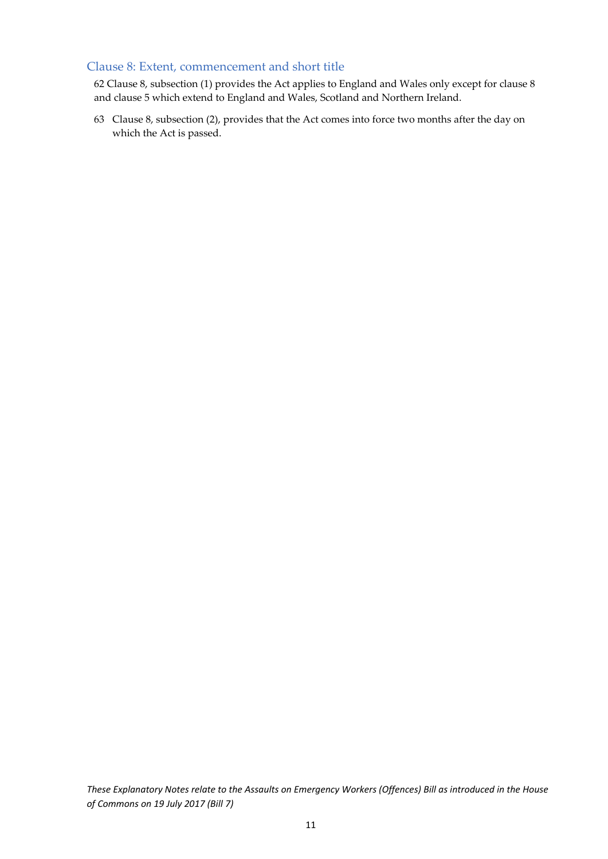#### Clause 8: Extent, commencement and short title

62 Clause 8, subsection (1) provides the Act applies to England and Wales only except for clause 8 and clause 5 which extend to England and Wales, Scotland and Northern Ireland.

63 Clause 8, subsection (2), provides that the Act comes into force two months after the day on which the Act is passed.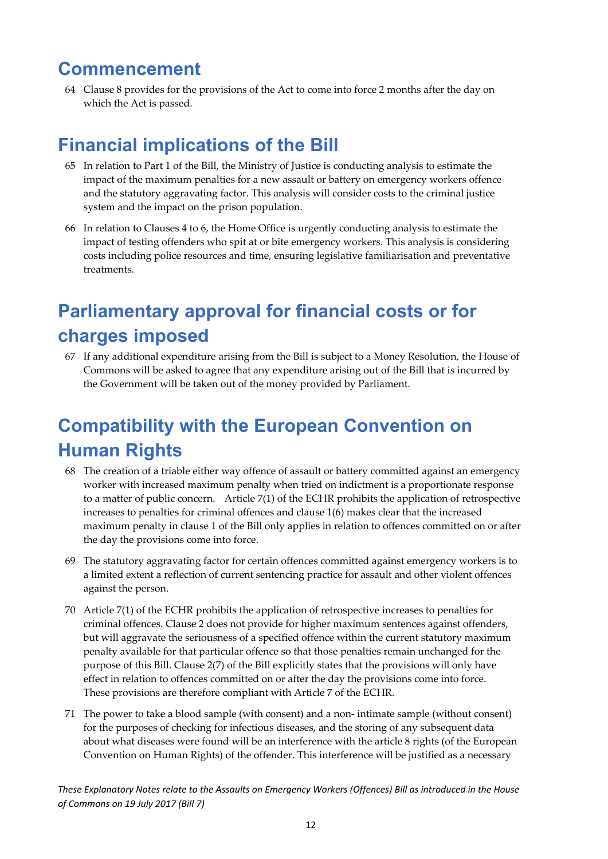### **Commencement**

64 Clause 8 provides for the provisions of the Act to come into force 2 months after the day on which the Act is passed.

## **Financial implications of the Bill**

- 65 In relation to Part 1 of the Bill, the Ministry of Justice is conducting analysis to estimate the impact of the maximum penalties for a new assault or battery on emergency workers offence and the statutory aggravating factor. This analysis will consider costs to the criminal justice system and the impact on the prison population.
- 66 In relation to Clauses 4 to 6, the Home Office is urgently conducting analysis to estimate the impact of testing offenders who spit at or bite emergency workers. This analysis is considering costs including police resources and time, ensuring legislative familiarisation and preventative treatments.

# **Parliamentary approval for financial costs or for charges imposed**

67 If any additional expenditure arising from the Bill is subject to a Money Resolution, the House of Commons will be asked to agree that any expenditure arising out of the Bill that is incurred by the Government will be taken out of the money provided by Parliament.

# **Compatibility with the European Convention on Human Rights**

- 68 The creation of a triable either way offence of assault or battery committed against an emergency worker with increased maximum penalty when tried on indictment is a proportionate response to a matter of public concern. Article 7(1) of the ECHR prohibits the application of retrospective increases to penalties for criminal offences and clause 1(6) makes clear that the increased maximum penalty in clause 1 of the Bill only applies in relation to offences committed on or after the day the provisions come into force.
- 69 The statutory aggravating factor for certain offences committed against emergency workers is to a limited extent a reflection of current sentencing practice for assault and other violent offences against the person.
- 70 Article 7(1) of the ECHR prohibits the application of retrospective increases to penalties for criminal offences. Clause 2 does not provide for higher maximum sentences against offenders, but will aggravate the seriousness of a specified offence within the current statutory maximum penalty available for that particular offence so that those penalties remain unchanged for the purpose of this Bill. Clause 2(7) of the Bill explicitly states that the provisions will only have effect in relation to offences committed on or after the day the provisions come into force. These provisions are therefore compliant with Article 7 of the ECHR.
- 71 The power to take a blood sample (with consent) and a non‐ intimate sample (without consent) for the purposes of checking for infectious diseases, and the storing of any subsequent data about what diseases were found will be an interference with the article 8 rights (of the European Convention on Human Rights) of the offender. This interference will be justified as a necessary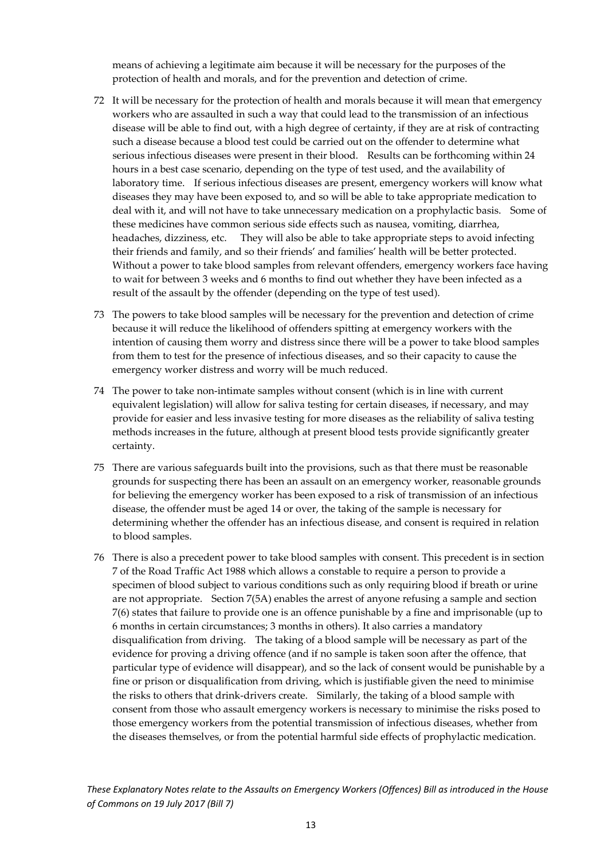means of achieving a legitimate aim because it will be necessary for the purposes of the protection of health and morals, and for the prevention and detection of crime.

- 72 It will be necessary for the protection of health and morals because it will mean that emergency workers who are assaulted in such a way that could lead to the transmission of an infectious disease will be able to find out, with a high degree of certainty, if they are at risk of contracting such a disease because a blood test could be carried out on the offender to determine what serious infectious diseases were present in their blood. Results can be forthcoming within 24 hours in a best case scenario, depending on the type of test used, and the availability of laboratory time. If serious infectious diseases are present, emergency workers will know what diseases they may have been exposed to, and so will be able to take appropriate medication to deal with it, and will not have to take unnecessary medication on a prophylactic basis. Some of these medicines have common serious side effects such as nausea, vomiting, diarrhea, headaches, dizziness, etc. They will also be able to take appropriate steps to avoid infecting their friends and family, and so their friends' and families' health will be better protected. Without a power to take blood samples from relevant offenders, emergency workers face having to wait for between 3 weeks and 6 months to find out whether they have been infected as a result of the assault by the offender (depending on the type of test used).
- 73 The powers to take blood samples will be necessary for the prevention and detection of crime because it will reduce the likelihood of offenders spitting at emergency workers with the intention of causing them worry and distress since there will be a power to take blood samples from them to test for the presence of infectious diseases, and so their capacity to cause the emergency worker distress and worry will be much reduced.
- 74 The power to take non-intimate samples without consent (which is in line with current equivalent legislation) will allow for saliva testing for certain diseases, if necessary, and may provide for easier and less invasive testing for more diseases as the reliability of saliva testing methods increases in the future, although at present blood tests provide significantly greater certainty.
- 75 There are various safeguards built into the provisions, such as that there must be reasonable grounds for suspecting there has been an assault on an emergency worker, reasonable grounds for believing the emergency worker has been exposed to a risk of transmission of an infectious disease, the offender must be aged 14 or over, the taking of the sample is necessary for determining whether the offender has an infectious disease, and consent is required in relation to blood samples.
- 76 There is also a precedent power to take blood samples with consent. This precedent is in section 7 of the Road Traffic Act 1988 which allows a constable to require a person to provide a specimen of blood subject to various conditions such as only requiring blood if breath or urine are not appropriate. Section 7(5A) enables the arrest of anyone refusing a sample and section 7(6) states that failure to provide one is an offence punishable by a fine and imprisonable (up to 6 months in certain circumstances; 3 months in others). It also carries a mandatory disqualification from driving. The taking of a blood sample will be necessary as part of the evidence for proving a driving offence (and if no sample is taken soon after the offence, that particular type of evidence will disappear), and so the lack of consent would be punishable by a fine or prison or disqualification from driving, which is justifiable given the need to minimise the risks to others that drink‐drivers create. Similarly, the taking of a blood sample with consent from those who assault emergency workers is necessary to minimise the risks posed to those emergency workers from the potential transmission of infectious diseases, whether from the diseases themselves, or from the potential harmful side effects of prophylactic medication.

These Explanatory Notes relate to the Assaults on Emergency Workers (Offences) Bill as introduced in the House *of Commons on 19 July 2017 (Bill 7)*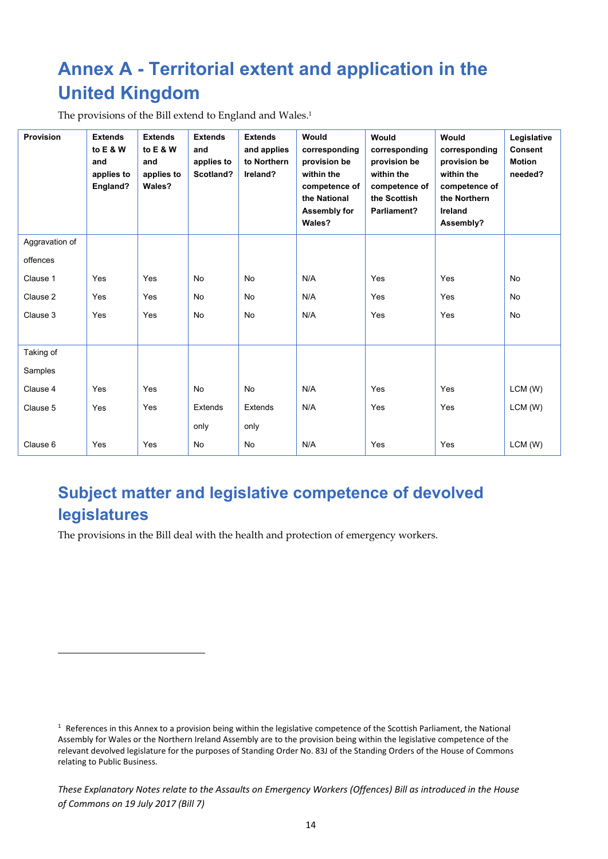# **Annex A - Territorial extent and application in the United Kingdom**

The provisions of the Bill extend to England and Wales.<sup>1</sup>

| <b>Provision</b> | <b>Extends</b><br>to E & W<br>and<br>applies to<br>England? | <b>Extends</b><br>to E & W<br>and<br>applies to<br>Wales? | <b>Extends</b><br>and<br>applies to<br>Scotland? | <b>Extends</b><br>and applies<br>to Northern<br>Ireland? | Would<br>corresponding<br>provision be<br>within the<br>competence of<br>the National<br>Assembly for<br>Wales? | Would<br>corresponding<br>provision be<br>within the<br>competence of<br>the Scottish<br>Parliament? | Would<br>corresponding<br>provision be<br>within the<br>competence of<br>the Northern<br>Ireland<br>Assembly? | Legislative<br><b>Consent</b><br><b>Motion</b><br>needed? |
|------------------|-------------------------------------------------------------|-----------------------------------------------------------|--------------------------------------------------|----------------------------------------------------------|-----------------------------------------------------------------------------------------------------------------|------------------------------------------------------------------------------------------------------|---------------------------------------------------------------------------------------------------------------|-----------------------------------------------------------|
| Aggravation of   |                                                             |                                                           |                                                  |                                                          |                                                                                                                 |                                                                                                      |                                                                                                               |                                                           |
| offences         |                                                             |                                                           |                                                  |                                                          |                                                                                                                 |                                                                                                      |                                                                                                               |                                                           |
| Clause 1         | Yes                                                         | Yes                                                       | <b>No</b>                                        | <b>No</b>                                                | N/A                                                                                                             | Yes                                                                                                  | Yes                                                                                                           | <b>No</b>                                                 |
| Clause 2         | Yes                                                         | Yes                                                       | <b>No</b>                                        | No                                                       | N/A                                                                                                             | Yes                                                                                                  | Yes                                                                                                           | <b>No</b>                                                 |
| Clause 3         | Yes                                                         | Yes                                                       | <b>No</b>                                        | No                                                       | N/A                                                                                                             | Yes                                                                                                  | Yes                                                                                                           | <b>No</b>                                                 |
|                  |                                                             |                                                           |                                                  |                                                          |                                                                                                                 |                                                                                                      |                                                                                                               |                                                           |
| Taking of        |                                                             |                                                           |                                                  |                                                          |                                                                                                                 |                                                                                                      |                                                                                                               |                                                           |
| Samples          |                                                             |                                                           |                                                  |                                                          |                                                                                                                 |                                                                                                      |                                                                                                               |                                                           |
| Clause 4         | Yes                                                         | Yes                                                       | No                                               | No                                                       | N/A                                                                                                             | Yes                                                                                                  | Yes                                                                                                           | LCM(W)                                                    |
| Clause 5         | Yes                                                         | Yes                                                       | Extends                                          | Extends                                                  | N/A                                                                                                             | Yes                                                                                                  | Yes                                                                                                           | LCM(W)                                                    |
|                  |                                                             |                                                           | only                                             | only                                                     |                                                                                                                 |                                                                                                      |                                                                                                               |                                                           |
| Clause 6         | Yes                                                         | Yes                                                       | <b>No</b>                                        | <b>No</b>                                                | N/A                                                                                                             | Yes                                                                                                  | Yes                                                                                                           | LCM (W)                                                   |

### **Subject matter and legislative competence of devolved legislatures**

The provisions in the Bill deal with the health and protection of emergency workers.

 $1$  References in this Annex to a provision being within the legislative competence of the Scottish Parliament, the National Assembly for Wales or the Northern Ireland Assembly are to the provision being within the legislative competence of the relevant devolved legislature for the purposes of Standing Order No. 83J of the Standing Orders of the House of Commons relating to Public Business.

These Explanatory Notes relate to the Assaults on Emergency Workers (Offences) Bill as introduced in the House *of Commons on 19 July 2017 (Bill 7)*